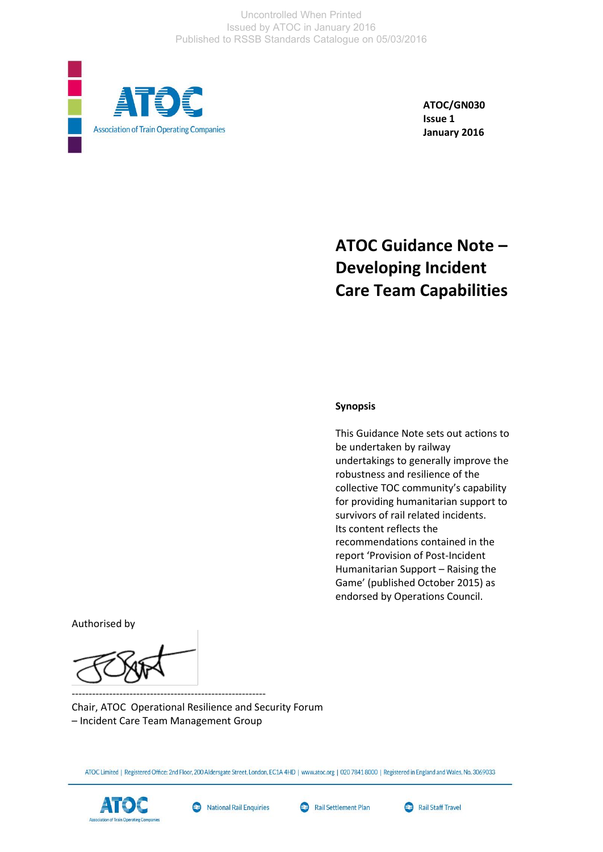Uncontrolled When Printed Issued by ATOC in January 2016 Published to RSSB Standards Catalogue on 05/03/2016



**ATOC/GN030 Issue 1 January 2016**

# **ATOC Guidance Note – Developing Incident Care Team Capabilities**

#### **Synopsis**

This Guidance Note sets out actions to be undertaken by railway undertakings to generally improve the robustness and resilience of the collective TOC community's capability for providing humanitarian support to survivors of rail related incidents. Its content reflects the recommendations contained in the report 'Provision of Post-Incident Humanitarian Support – Raising the Game' (published October 2015) as endorsed by Operations Council.

Authorised by

--------------------------------------------------------- Chair, ATOC Operational Resilience and Security Forum – Incident Care Team Management Group

ATOC Limited | Registered Office: 2nd Floor, 200 Aldersgate Street, London, EC1A 4HD | www.atoc.org | 020 7841 8000 | Registered in England and Wales, No. 3069033





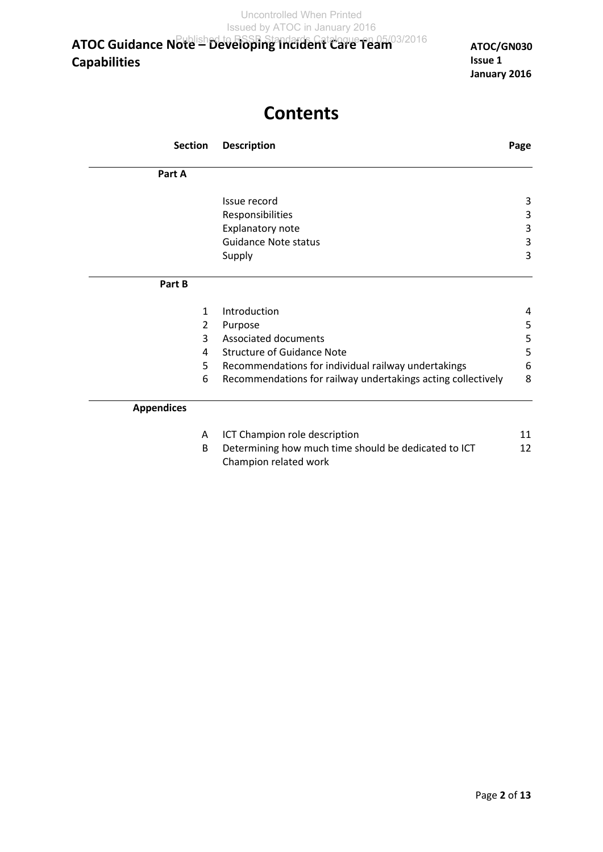**ATOC/GN030 Issue 1 January 2016**

# **Contents**

| <b>Section</b>    | <b>Description</b>                                                            | Page |
|-------------------|-------------------------------------------------------------------------------|------|
| Part A            |                                                                               |      |
|                   | Issue record                                                                  | 3    |
|                   | Responsibilities                                                              | 3    |
|                   | Explanatory note                                                              | 3    |
|                   | <b>Guidance Note status</b>                                                   | 3    |
|                   | Supply                                                                        | 3    |
| Part B            |                                                                               |      |
| $\mathbf{1}$      | Introduction                                                                  | 4    |
| 2                 | Purpose                                                                       | 5    |
| 3                 | Associated documents                                                          | 5    |
| 4                 | <b>Structure of Guidance Note</b>                                             | 5    |
| 5                 | Recommendations for individual railway undertakings                           | 6    |
| 6                 | Recommendations for railway undertakings acting collectively                  | 8    |
| <b>Appendices</b> |                                                                               |      |
| A                 | ICT Champion role description                                                 | 11   |
| B                 | Determining how much time should be dedicated to ICT<br>Champion related work | 12   |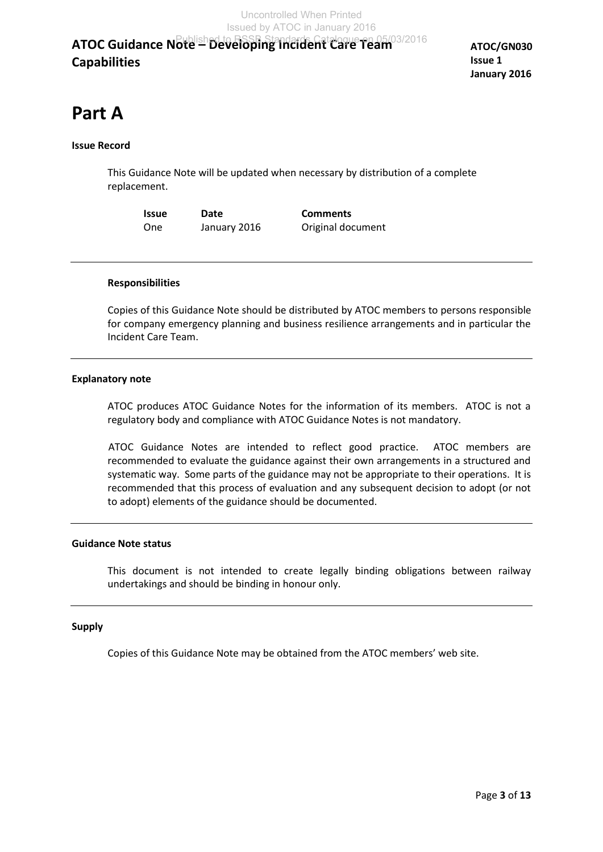**ATOC/GN030 Issue 1 January 2016**

# **Part A**

# **Issue Record**

This Guidance Note will be updated when necessary by distribution of a complete replacement.

**Issue Date Comments** One January 2016 Original document

# **Responsibilities**

Copies of this Guidance Note should be distributed by ATOC members to persons responsible for company emergency planning and business resilience arrangements and in particular the Incident Care Team.

# **Explanatory note**

ATOC produces ATOC Guidance Notes for the information of its members. ATOC is not a regulatory body and compliance with ATOC Guidance Notes is not mandatory.

 ATOC Guidance Notes are intended to reflect good practice. ATOC members are recommended to evaluate the guidance against their own arrangements in a structured and systematic way. Some parts of the guidance may not be appropriate to their operations. It is recommended that this process of evaluation and any subsequent decision to adopt (or not to adopt) elements of the guidance should be documented.

# **Guidance Note status**

This document is not intended to create legally binding obligations between railway undertakings and should be binding in honour only.

# **Supply**

Copies of this Guidance Note may be obtained from the ATOC members' web site.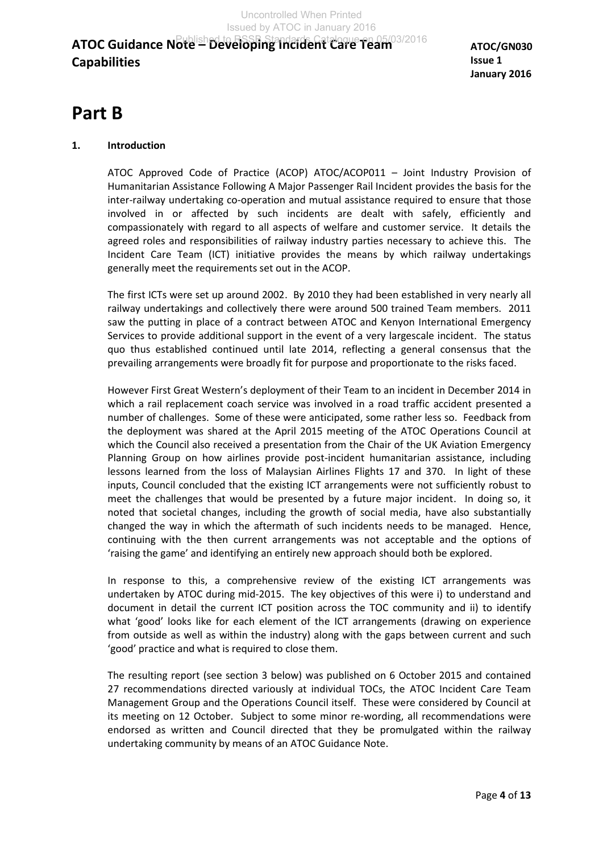**ATOC/GN030 Issue 1 January 2016**

# **Part B**

# **1. Introduction**

ATOC Approved Code of Practice (ACOP) ATOC/ACOP011 – Joint Industry Provision of Humanitarian Assistance Following A Major Passenger Rail Incident provides the basis for the inter-railway undertaking co-operation and mutual assistance required to ensure that those involved in or affected by such incidents are dealt with safely, efficiently and compassionately with regard to all aspects of welfare and customer service. It details the agreed roles and responsibilities of railway industry parties necessary to achieve this. The Incident Care Team (ICT) initiative provides the means by which railway undertakings generally meet the requirements set out in the ACOP.

The first ICTs were set up around 2002. By 2010 they had been established in very nearly all railway undertakings and collectively there were around 500 trained Team members. 2011 saw the putting in place of a contract between ATOC and Kenyon International Emergency Services to provide additional support in the event of a very largescale incident. The status quo thus established continued until late 2014, reflecting a general consensus that the prevailing arrangements were broadly fit for purpose and proportionate to the risks faced.

However First Great Western's deployment of their Team to an incident in December 2014 in which a rail replacement coach service was involved in a road traffic accident presented a number of challenges. Some of these were anticipated, some rather less so. Feedback from the deployment was shared at the April 2015 meeting of the ATOC Operations Council at which the Council also received a presentation from the Chair of the UK Aviation Emergency Planning Group on how airlines provide post-incident humanitarian assistance, including lessons learned from the loss of Malaysian Airlines Flights 17 and 370. In light of these inputs, Council concluded that the existing ICT arrangements were not sufficiently robust to meet the challenges that would be presented by a future major incident. In doing so, it noted that societal changes, including the growth of social media, have also substantially changed the way in which the aftermath of such incidents needs to be managed. Hence, continuing with the then current arrangements was not acceptable and the options of 'raising the game' and identifying an entirely new approach should both be explored.

In response to this, a comprehensive review of the existing ICT arrangements was undertaken by ATOC during mid-2015. The key objectives of this were i) to understand and document in detail the current ICT position across the TOC community and ii) to identify what 'good' looks like for each element of the ICT arrangements (drawing on experience from outside as well as within the industry) along with the gaps between current and such 'good' practice and what is required to close them.

The resulting report (see section 3 below) was published on 6 October 2015 and contained 27 recommendations directed variously at individual TOCs, the ATOC Incident Care Team Management Group and the Operations Council itself. These were considered by Council at its meeting on 12 October. Subject to some minor re-wording, all recommendations were endorsed as written and Council directed that they be promulgated within the railway undertaking community by means of an ATOC Guidance Note.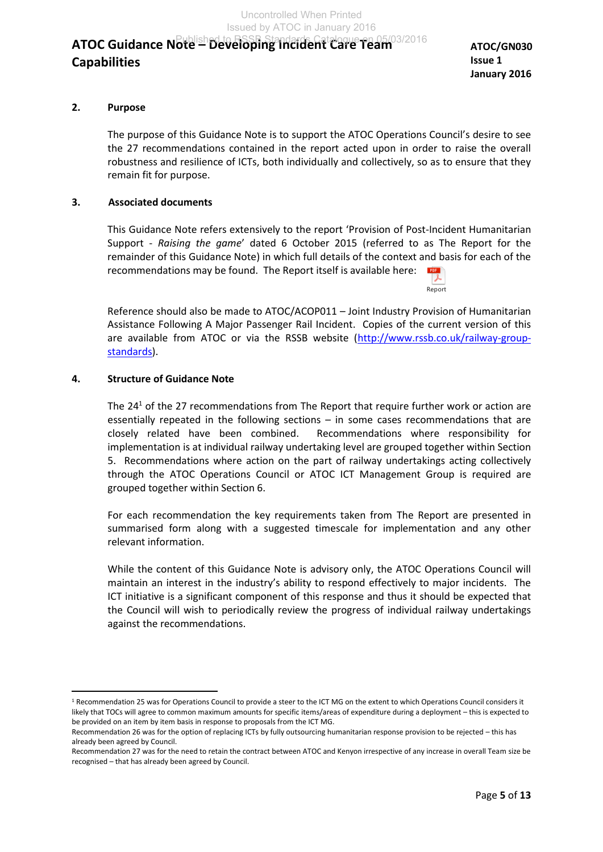**ATOC/GN030 Issue 1 January 2016**

Report

# **2. Purpose**

 The purpose of this Guidance Note is to support the ATOC Operations Council's desire to see the 27 recommendations contained in the report acted upon in order to raise the overall robustness and resilience of ICTs, both individually and collectively, so as to ensure that they remain fit for purpose.

# **3. Associated documents**

This Guidance Note refers extensively to the report 'Provision of Post-Incident Humanitarian Support - *Raising the game*' dated 6 October 2015 (referred to as The Report for the remainder of this Guidance Note) in which full details of the context and basis for each of the recommendations may be found. The Report itself is available here: PDF

Reference should also be made to ATOC/ACOP011 – Joint Industry Provision of Humanitarian Assistance Following A Major Passenger Rail Incident. Copies of the current version of this are available from ATOC or via the RSSB website [\(http://www.rssb.co.uk/railway-group](http://www.rssb.co.uk/railway-group-standards)[standards\)](http://www.rssb.co.uk/railway-group-standards).

# **4. Structure of Guidance Note**

 $\overline{a}$ 

The 24<sup>1</sup> of the 27 recommendations from The Report that require further work or action are essentially repeated in the following sections – in some cases recommendations that are closely related have been combined. Recommendations where responsibility for implementation is at individual railway undertaking level are grouped together within Section 5. Recommendations where action on the part of railway undertakings acting collectively through the ATOC Operations Council or ATOC ICT Management Group is required are grouped together within Section 6.

For each recommendation the key requirements taken from The Report are presented in summarised form along with a suggested timescale for implementation and any other relevant information.

While the content of this Guidance Note is advisory only, the ATOC Operations Council will maintain an interest in the industry's ability to respond effectively to major incidents. The ICT initiative is a significant component of this response and thus it should be expected that the Council will wish to periodically review the progress of individual railway undertakings against the recommendations.

<sup>&</sup>lt;sup>1</sup> Recommendation 25 was for Operations Council to provide a steer to the ICT MG on the extent to which Operations Council considers it likely that TOCs will agree to common maximum amounts for specific items/areas of expenditure during a deployment – this is expected to be provided on an item by item basis in response to proposals from the ICT MG.

Recommendation 26 was for the option of replacing ICTs by fully outsourcing humanitarian response provision to be rejected – this has already been agreed by Council.

Recommendation 27 was for the need to retain the contract between ATOC and Kenyon irrespective of any increase in overall Team size be recognised – that has already been agreed by Council.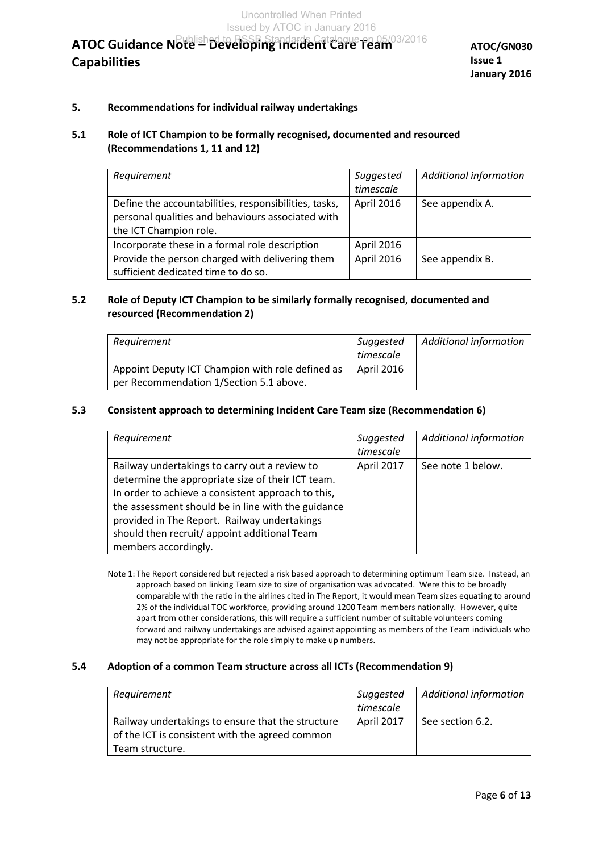# **5. Recommendations for individual railway undertakings**

# **5.1 Role of ICT Champion to be formally recognised, documented and resourced (Recommendations 1, 11 and 12)**

| Requirement                                           | Suggested         | <b>Additional information</b> |
|-------------------------------------------------------|-------------------|-------------------------------|
|                                                       | timescale         |                               |
| Define the accountabilities, responsibilities, tasks, | <b>April 2016</b> | See appendix A.               |
| personal qualities and behaviours associated with     |                   |                               |
| the ICT Champion role.                                |                   |                               |
| Incorporate these in a formal role description        | April 2016        |                               |
| Provide the person charged with delivering them       | April 2016        | See appendix B.               |
| sufficient dedicated time to do so.                   |                   |                               |

# **5.2 Role of Deputy ICT Champion to be similarly formally recognised, documented and resourced (Recommendation 2)**

| Requirement                                      | Suggested  | Additional information |
|--------------------------------------------------|------------|------------------------|
|                                                  | timescale  |                        |
| Appoint Deputy ICT Champion with role defined as | April 2016 |                        |
| per Recommendation 1/Section 5.1 above.          |            |                        |

### **5.3 Consistent approach to determining Incident Care Team size (Recommendation 6)**

| Requirement                                        | Suggested  | <b>Additional information</b> |
|----------------------------------------------------|------------|-------------------------------|
|                                                    | timescale  |                               |
| Railway undertakings to carry out a review to      | April 2017 | See note 1 below.             |
| determine the appropriate size of their ICT team.  |            |                               |
| In order to achieve a consistent approach to this, |            |                               |
| the assessment should be in line with the guidance |            |                               |
| provided in The Report. Railway undertakings       |            |                               |
| should then recruit/ appoint additional Team       |            |                               |
| members accordingly.                               |            |                               |

Note 1: The Report considered but rejected a risk based approach to determining optimum Team size. Instead, an approach based on linking Team size to size of organisation was advocated. Were this to be broadly comparable with the ratio in the airlines cited in The Report, it would mean Team sizes equating to around 2% of the individual TOC workforce, providing around 1200 Team members nationally. However, quite apart from other considerations, this will require a sufficient number of suitable volunteers coming forward and railway undertakings are advised against appointing as members of the Team individuals who may not be appropriate for the role simply to make up numbers.

#### **5.4 Adoption of a common Team structure across all ICTs (Recommendation 9)**

| Requirement                                                                                          | Suggested<br>timescale | <b>Additional information</b> |
|------------------------------------------------------------------------------------------------------|------------------------|-------------------------------|
| Railway undertakings to ensure that the structure<br>of the ICT is consistent with the agreed common | April 2017             | See section 6.2.              |
| Team structure.                                                                                      |                        |                               |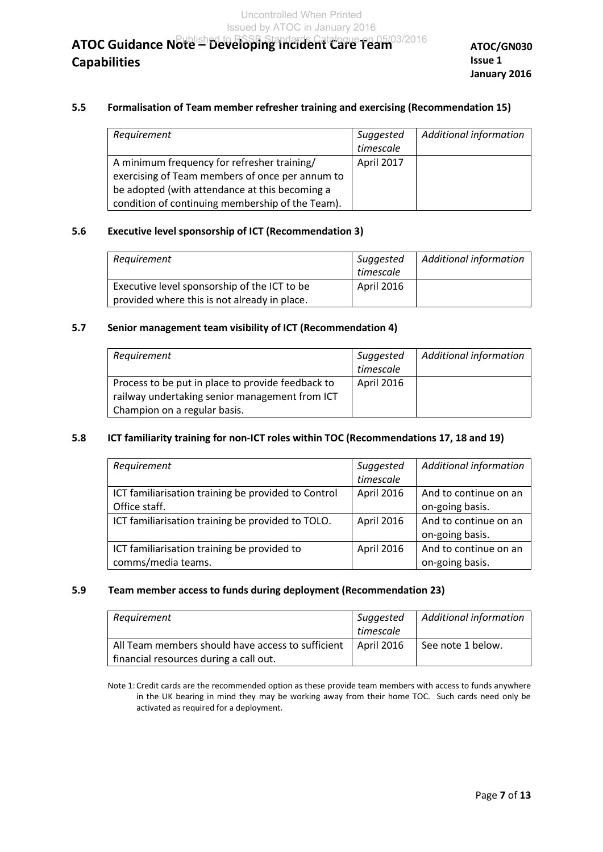**ATOC/GN030 Issue 1 January 2016**

### **5.5 Formalisation of Team member refresher training and exercising (Recommendation 15)**

| Requirement                                      | Suggested<br>timescale | <b>Additional information</b> |
|--------------------------------------------------|------------------------|-------------------------------|
|                                                  |                        |                               |
| A minimum frequency for refresher training/      | April 2017             |                               |
| exercising of Team members of once per annum to  |                        |                               |
| be adopted (with attendance at this becoming a   |                        |                               |
| condition of continuing membership of the Team). |                        |                               |

#### **5.6 Executive level sponsorship of ICT (Recommendation 3)**

| Requirement                                  | Suggested  | <b>Additional information</b> |
|----------------------------------------------|------------|-------------------------------|
|                                              | timescale  |                               |
| Executive level sponsorship of the ICT to be | April 2016 |                               |
| provided where this is not already in place. |            |                               |

### **5.7 Senior management team visibility of ICT (Recommendation 4)**

| Requirement                                       | Suggested         | <b>Additional information</b> |
|---------------------------------------------------|-------------------|-------------------------------|
|                                                   | timescale         |                               |
| Process to be put in place to provide feedback to | <b>April 2016</b> |                               |
| railway undertaking senior management from ICT    |                   |                               |
| Champion on a regular basis.                      |                   |                               |

### **5.8 ICT familiarity training for non-ICT roles within TOC (Recommendations 17, 18 and 19)**

| Requirement                                         | Suggested  | <b>Additional information</b> |
|-----------------------------------------------------|------------|-------------------------------|
|                                                     | timescale  |                               |
| ICT familiarisation training be provided to Control | April 2016 | And to continue on an         |
| Office staff.                                       |            | on-going basis.               |
| ICT familiarisation training be provided to TOLO.   | April 2016 | And to continue on an         |
|                                                     |            | on-going basis.               |
| ICT familiarisation training be provided to         | April 2016 | And to continue on an         |
| comms/media teams.                                  |            | on-going basis.               |

#### **5.9 Team member access to funds during deployment (Recommendation 23)**

| Requirement                                       | Suggested                 | Additional information |
|---------------------------------------------------|---------------------------|------------------------|
|                                                   | timescale                 |                        |
| All Team members should have access to sufficient | $\overline{ }$ April 2016 | See note 1 below.      |
| financial resources during a call out.            |                           |                        |

Note 1: Credit cards are the recommended option as these provide team members with access to funds anywhere in the UK bearing in mind they may be working away from their home TOC. Such cards need only be activated as required for a deployment.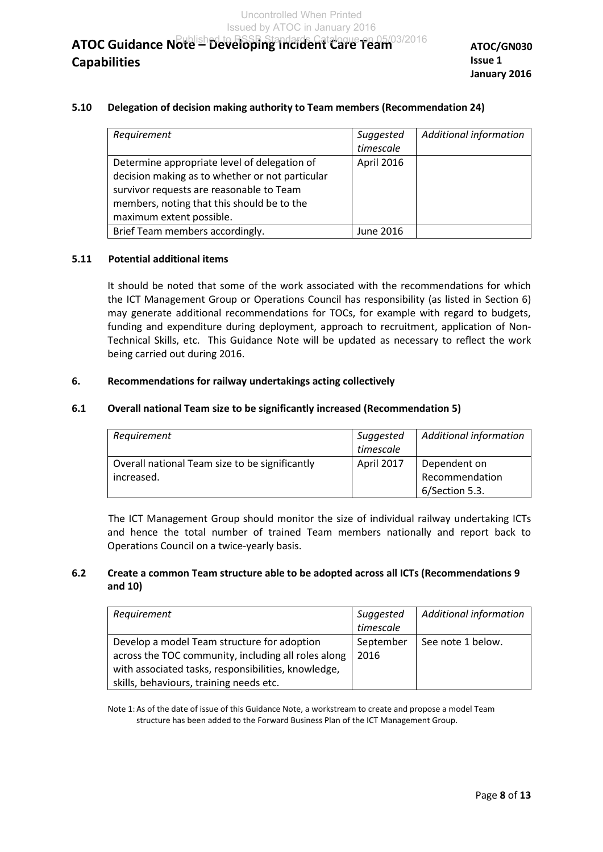**ATOC/GN030 Issue 1 January 2016**

### **5.10 Delegation of decision making authority to Team members (Recommendation 24)**

| Requirement                                     | Suggested  | <b>Additional information</b> |
|-------------------------------------------------|------------|-------------------------------|
|                                                 | timescale  |                               |
| Determine appropriate level of delegation of    | April 2016 |                               |
| decision making as to whether or not particular |            |                               |
| survivor requests are reasonable to Team        |            |                               |
| members, noting that this should be to the      |            |                               |
| maximum extent possible.                        |            |                               |
| Brief Team members accordingly.                 | June 2016  |                               |

#### **5.11 Potential additional items**

 It should be noted that some of the work associated with the recommendations for which the ICT Management Group or Operations Council has responsibility (as listed in Section 6) may generate additional recommendations for TOCs, for example with regard to budgets, funding and expenditure during deployment, approach to recruitment, application of Non-Technical Skills, etc. This Guidance Note will be updated as necessary to reflect the work being carried out during 2016.

### **6. Recommendations for railway undertakings acting collectively**

#### **6.1 Overall national Team size to be significantly increased (Recommendation 5)**

| Requirement                                    | Suggested<br>timescale | <b>Additional information</b> |
|------------------------------------------------|------------------------|-------------------------------|
| Overall national Team size to be significantly | April 2017             | Dependent on                  |
| increased.                                     |                        | Recommendation                |
|                                                |                        | 6/Section 5.3.                |

The ICT Management Group should monitor the size of individual railway undertaking ICTs and hence the total number of trained Team members nationally and report back to Operations Council on a twice-yearly basis.

# **6.2 Create a common Team structure able to be adopted across all ICTs (Recommendations 9 and 10)**

| Requirement                                         | Suggested | <b>Additional information</b> |
|-----------------------------------------------------|-----------|-------------------------------|
|                                                     | timescale |                               |
| Develop a model Team structure for adoption         | September | See note 1 below.             |
| across the TOC community, including all roles along | 2016      |                               |
| with associated tasks, responsibilities, knowledge, |           |                               |
| skills, behaviours, training needs etc.             |           |                               |

Note 1: As of the date of issue of this Guidance Note, a workstream to create and propose a model Team structure has been added to the Forward Business Plan of the ICT Management Group.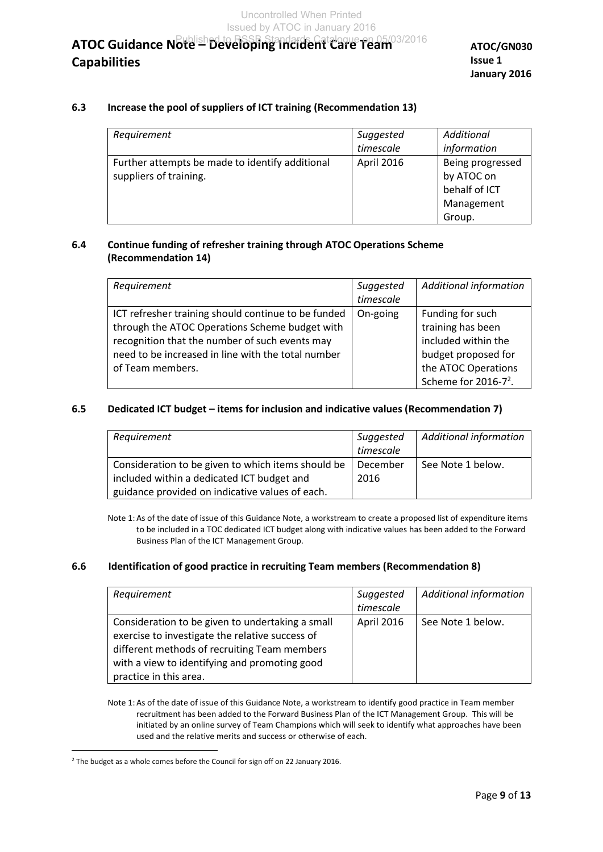**ATOC/GN030 Issue 1 January 2016**

# **6.3 Increase the pool of suppliers of ICT training (Recommendation 13)**

| Requirement                                     | Suggested  | Additional       |
|-------------------------------------------------|------------|------------------|
|                                                 | timescale  | information      |
| Further attempts be made to identify additional | April 2016 | Being progressed |
| suppliers of training.                          |            | by ATOC on       |
|                                                 |            | behalf of ICT    |
|                                                 |            | Management       |
|                                                 |            | Group.           |

# **6.4 Continue funding of refresher training through ATOC Operations Scheme (Recommendation 14)**

| Requirement                                         | Suggested | <b>Additional information</b>    |
|-----------------------------------------------------|-----------|----------------------------------|
|                                                     | timescale |                                  |
| ICT refresher training should continue to be funded | On-going  | Funding for such                 |
| through the ATOC Operations Scheme budget with      |           | training has been                |
| recognition that the number of such events may      |           | included within the              |
| need to be increased in line with the total number  |           | budget proposed for              |
| of Team members.                                    |           | the ATOC Operations              |
|                                                     |           | Scheme for 2016-7 <sup>2</sup> . |

# **6.5 Dedicated ICT budget – items for inclusion and indicative values (Recommendation 7)**

| Requirement                                                                                      | Suggested<br>timescale | <b>Additional information</b> |
|--------------------------------------------------------------------------------------------------|------------------------|-------------------------------|
| Consideration to be given to which items should be<br>included within a dedicated ICT budget and | December<br>2016       | See Note 1 below.             |
| guidance provided on indicative values of each.                                                  |                        |                               |

Note 1: As of the date of issue of this Guidance Note, a workstream to create a proposed list of expenditure items to be included in a TOC dedicated ICT budget along with indicative values has been added to the Forward Business Plan of the ICT Management Group.

# **6.6 Identification of good practice in recruiting Team members (Recommendation 8)**

| Requirement                                                                                                                                                                                                                    | Suggested<br>timescale | <b>Additional information</b> |
|--------------------------------------------------------------------------------------------------------------------------------------------------------------------------------------------------------------------------------|------------------------|-------------------------------|
| Consideration to be given to undertaking a small<br>exercise to investigate the relative success of<br>different methods of recruiting Team members<br>with a view to identifying and promoting good<br>practice in this area. | April 2016             | See Note 1 below.             |

Note 1: As of the date of issue of this Guidance Note, a workstream to identify good practice in Team member recruitment has been added to the Forward Business Plan of the ICT Management Group. This will be initiated by an online survey of Team Champions which will seek to identify what approaches have been used and the relative merits and success or otherwise of each.

 $\overline{a}$ 

<sup>&</sup>lt;sup>2</sup> The budget as a whole comes before the Council for sign off on 22 January 2016.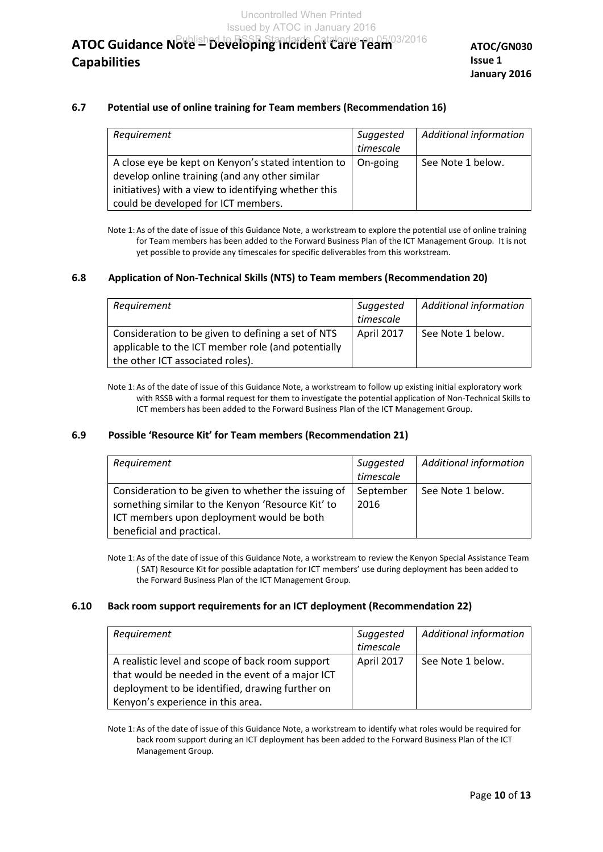Uncontrolled When Printed Issued by ATOC in January 2016

# **ATOC Guidance Note – Developing Incident Care Team**  Published to RSSB Standards Catalogue on 05/03/2016**Capabilities**

**ATOC/GN030 Issue 1 January 2016**

#### **6.7 Potential use of online training for Team members (Recommendation 16)**

| Requirement                                                                                                                                                                                          | Suggested<br>timescale | Additional information |
|------------------------------------------------------------------------------------------------------------------------------------------------------------------------------------------------------|------------------------|------------------------|
| A close eye be kept on Kenyon's stated intention to<br>develop online training (and any other similar<br>initiatives) with a view to identifying whether this<br>could be developed for ICT members. | On-going               | See Note 1 below.      |

Note 1: As of the date of issue of this Guidance Note, a workstream to explore the potential use of online training for Team members has been added to the Forward Business Plan of the ICT Management Group. It is not yet possible to provide any timescales for specific deliverables from this workstream.

#### **6.8 Application of Non-Technical Skills (NTS) to Team members (Recommendation 20)**

| Requirement                                                                                              | Suggested  | <b>Additional information</b> |
|----------------------------------------------------------------------------------------------------------|------------|-------------------------------|
|                                                                                                          | timescale  |                               |
| Consideration to be given to defining a set of NTS<br>applicable to the ICT member role (and potentially | April 2017 | See Note 1 below.             |
| the other ICT associated roles).                                                                         |            |                               |

Note 1: As of the date of issue of this Guidance Note, a workstream to follow up existing initial exploratory work with RSSB with a formal request for them to investigate the potential application of Non-Technical Skills to ICT members has been added to the Forward Business Plan of the ICT Management Group.

#### **6.9 Possible 'Resource Kit' for Team members (Recommendation 21)**

| Requirement                                                                                                                                                                        | Suggested<br>timescale | <b>Additional information</b> |
|------------------------------------------------------------------------------------------------------------------------------------------------------------------------------------|------------------------|-------------------------------|
| Consideration to be given to whether the issuing of<br>something similar to the Kenyon 'Resource Kit' to<br>ICT members upon deployment would be both<br>beneficial and practical. | September<br>2016      | See Note 1 below.             |

Note 1: As of the date of issue of this Guidance Note, a workstream to review the Kenyon Special Assistance Team ( SAT) Resource Kit for possible adaptation for ICT members' use during deployment has been added to the Forward Business Plan of the ICT Management Group.

#### **6.10 Back room support requirements for an ICT deployment (Recommendation 22)**

| Requirement                                                                                                                                                                                  | Suggested<br>timescale | <b>Additional information</b> |
|----------------------------------------------------------------------------------------------------------------------------------------------------------------------------------------------|------------------------|-------------------------------|
| A realistic level and scope of back room support<br>that would be needed in the event of a major ICT<br>deployment to be identified, drawing further on<br>Kenyon's experience in this area. | April 2017             | See Note 1 below.             |

Note 1: As of the date of issue of this Guidance Note, a workstream to identify what roles would be required for back room support during an ICT deployment has been added to the Forward Business Plan of the ICT Management Group.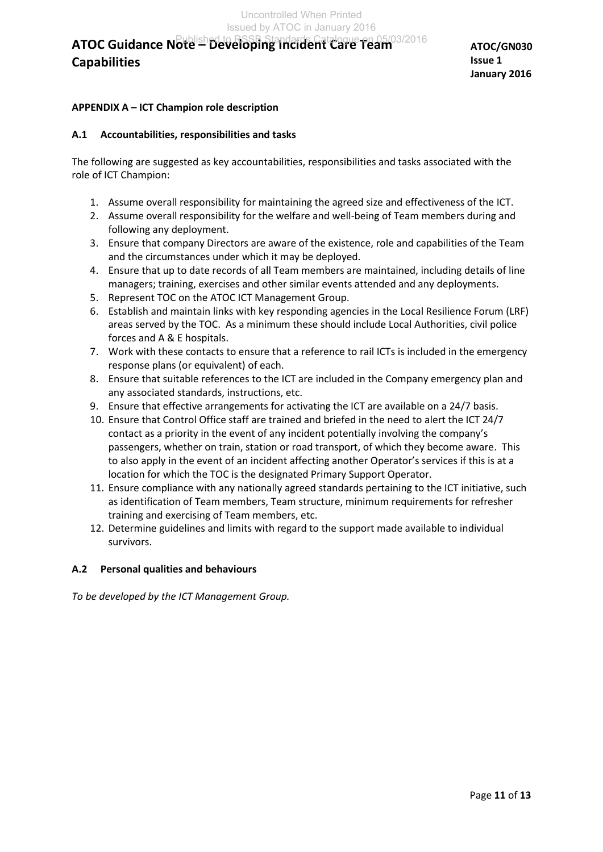# **APPENDIX A – ICT Champion role description**

### **A.1 Accountabilities, responsibilities and tasks**

The following are suggested as key accountabilities, responsibilities and tasks associated with the role of ICT Champion:

- 1. Assume overall responsibility for maintaining the agreed size and effectiveness of the ICT.
- 2. Assume overall responsibility for the welfare and well-being of Team members during and following any deployment.
- 3. Ensure that company Directors are aware of the existence, role and capabilities of the Team and the circumstances under which it may be deployed.
- 4. Ensure that up to date records of all Team members are maintained, including details of line managers; training, exercises and other similar events attended and any deployments.
- 5. Represent TOC on the ATOC ICT Management Group.
- 6. Establish and maintain links with key responding agencies in the Local Resilience Forum (LRF) areas served by the TOC. As a minimum these should include Local Authorities, civil police forces and A & E hospitals.
- 7. Work with these contacts to ensure that a reference to rail ICTs is included in the emergency response plans (or equivalent) of each.
- 8. Ensure that suitable references to the ICT are included in the Company emergency plan and any associated standards, instructions, etc.
- 9. Ensure that effective arrangements for activating the ICT are available on a 24/7 basis.
- 10. Ensure that Control Office staff are trained and briefed in the need to alert the ICT 24/7 contact as a priority in the event of any incident potentially involving the company's passengers, whether on train, station or road transport, of which they become aware. This to also apply in the event of an incident affecting another Operator's services if this is at a location for which the TOC is the designated Primary Support Operator.
- 11. Ensure compliance with any nationally agreed standards pertaining to the ICT initiative, such as identification of Team members, Team structure, minimum requirements for refresher training and exercising of Team members, etc.
- 12. Determine guidelines and limits with regard to the support made available to individual survivors.

### **A.2 Personal qualities and behaviours**

*To be developed by the ICT Management Group.*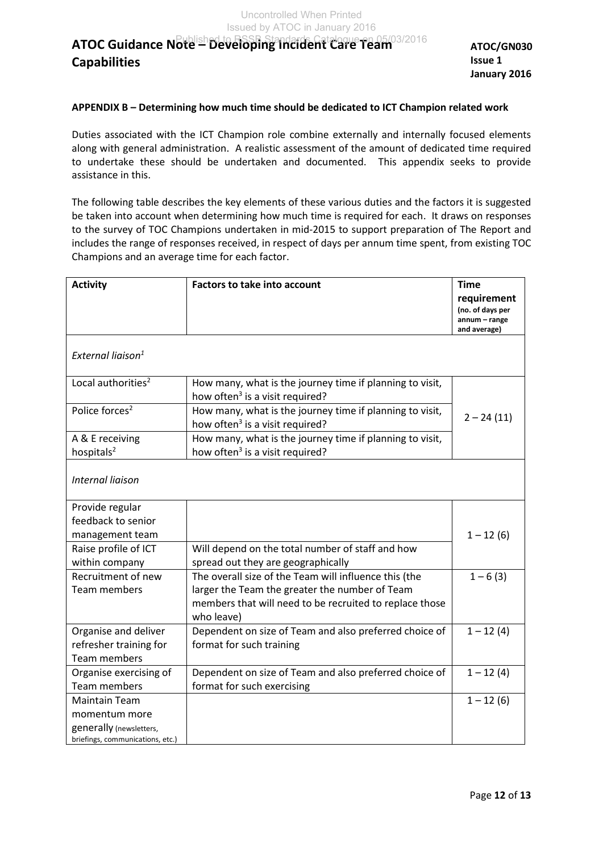**ATOC/GN030 Issue 1 January 2016**

### **APPENDIX B – Determining how much time should be dedicated to ICT Champion related work**

Duties associated with the ICT Champion role combine externally and internally focused elements along with general administration. A realistic assessment of the amount of dedicated time required to undertake these should be undertaken and documented. This appendix seeks to provide assistance in this.

The following table describes the key elements of these various duties and the factors it is suggested be taken into account when determining how much time is required for each. It draws on responses to the survey of TOC Champions undertaken in mid-2015 to support preparation of The Report and includes the range of responses received, in respect of days per annum time spent, from existing TOC Champions and an average time for each factor.

| <b>Activity</b>                           | <b>Factors to take into account</b>                                                                                     | <b>Time</b>                                                      |
|-------------------------------------------|-------------------------------------------------------------------------------------------------------------------------|------------------------------------------------------------------|
|                                           |                                                                                                                         | requirement<br>(no. of days per<br>annum - range<br>and average) |
| External liaison <sup>1</sup>             |                                                                                                                         |                                                                  |
| Local authorities <sup>2</sup>            | How many, what is the journey time if planning to visit,<br>how often <sup>3</sup> is a visit required?                 |                                                                  |
| Police forces <sup>2</sup>                | How many, what is the journey time if planning to visit,<br>how often <sup>3</sup> is a visit required?                 | $2 - 24(11)$                                                     |
| A & E receiving<br>hospitals <sup>2</sup> | How many, what is the journey time if planning to visit,<br>how often <sup>3</sup> is a visit required?                 |                                                                  |
| <b>Internal liaison</b>                   |                                                                                                                         |                                                                  |
| Provide regular                           |                                                                                                                         |                                                                  |
| feedback to senior                        |                                                                                                                         |                                                                  |
| management team                           |                                                                                                                         | $1 - 12(6)$                                                      |
| Raise profile of ICT                      | Will depend on the total number of staff and how                                                                        |                                                                  |
| within company                            | spread out they are geographically                                                                                      |                                                                  |
| Recruitment of new                        | The overall size of the Team will influence this (the                                                                   | $1 - 6(3)$                                                       |
| <b>Team members</b>                       | larger the Team the greater the number of Team<br>members that will need to be recruited to replace those<br>who leave) |                                                                  |
| Organise and deliver                      | Dependent on size of Team and also preferred choice of                                                                  | $1 - 12(4)$                                                      |
| refresher training for                    | format for such training                                                                                                |                                                                  |
| <b>Team members</b>                       |                                                                                                                         |                                                                  |
| Organise exercising of                    | Dependent on size of Team and also preferred choice of                                                                  | $1 - 12(4)$                                                      |
| Team members                              | format for such exercising                                                                                              |                                                                  |
| <b>Maintain Team</b>                      |                                                                                                                         | $1 - 12(6)$                                                      |
| momentum more                             |                                                                                                                         |                                                                  |
| generally (newsletters,                   |                                                                                                                         |                                                                  |
| briefings, communications, etc.)          |                                                                                                                         |                                                                  |